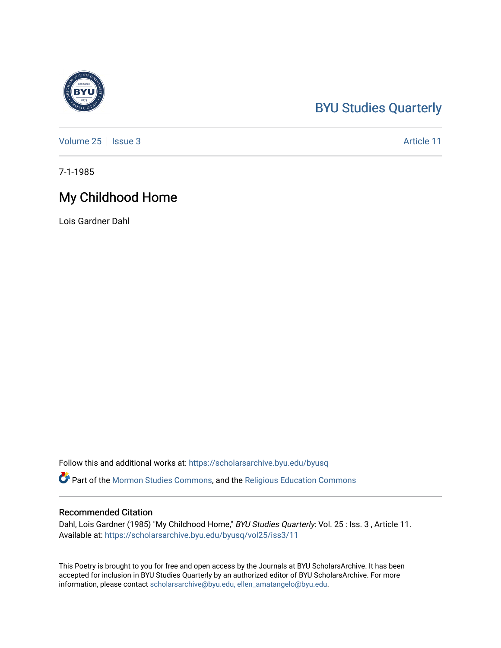## [BYU Studies Quarterly](https://scholarsarchive.byu.edu/byusq)

[Volume 25](https://scholarsarchive.byu.edu/byusq/vol25) | [Issue 3](https://scholarsarchive.byu.edu/byusq/vol25/iss3) Article 11

7-1-1985

## My Childhood Home

Lois Gardner Dahl

Follow this and additional works at: [https://scholarsarchive.byu.edu/byusq](https://scholarsarchive.byu.edu/byusq?utm_source=scholarsarchive.byu.edu%2Fbyusq%2Fvol25%2Fiss3%2F11&utm_medium=PDF&utm_campaign=PDFCoverPages) 

**Part of the [Mormon Studies Commons](http://network.bepress.com/hgg/discipline/1360?utm_source=scholarsarchive.byu.edu%2Fbyusq%2Fvol25%2Fiss3%2F11&utm_medium=PDF&utm_campaign=PDFCoverPages), and the Religious Education Commons** 

## Recommended Citation

Dahl, Lois Gardner (1985) "My Childhood Home," BYU Studies Quarterly: Vol. 25: Iss. 3, Article 11. Available at: [https://scholarsarchive.byu.edu/byusq/vol25/iss3/11](https://scholarsarchive.byu.edu/byusq/vol25/iss3/11?utm_source=scholarsarchive.byu.edu%2Fbyusq%2Fvol25%2Fiss3%2F11&utm_medium=PDF&utm_campaign=PDFCoverPages) 

This Poetry is brought to you for free and open access by the Journals at BYU ScholarsArchive. It has been accepted for inclusion in BYU Studies Quarterly by an authorized editor of BYU ScholarsArchive. For more information, please contact [scholarsarchive@byu.edu, ellen\\_amatangelo@byu.edu.](mailto:scholarsarchive@byu.edu,%20ellen_amatangelo@byu.edu)